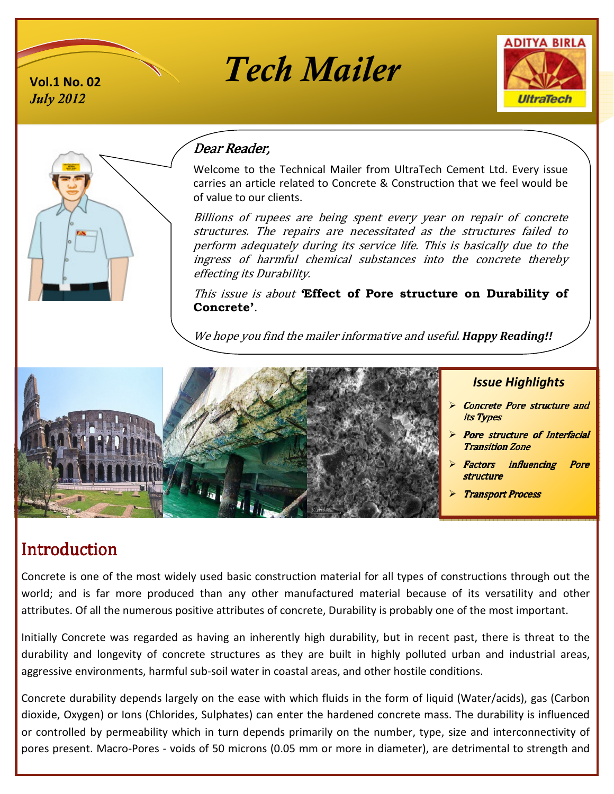

# **Vol.1 No. 02** *Tech Mailer*





# Dear Reader,

Welcome to the Technical Mailer from UltraTech Cement Ltd. Every issue carries an article related to Concrete & Construction that we feel would be of value to our clients.

Billions of rupees are being spent every year on repair of concrete structures. The repairs are necessitated as the structures failed to perform adequately during its service life. This is basically due to the ingress of harmful chemical substances into the concrete thereby effecting its Durability.

This issue is about *'***Effect of Pore structure on Durability of Concrete'**.

We hope you find the mailer informative and useful. *Happy Reading!!*



#### *Issue Highlights*

- Concrete Pore structure and its Types
- Pore structure of Interfacial **Transition Zone**
- Factors influencing Pore structure
- Transport Process

# **Introduction**

Concrete is one of the most widely used basic construction material for all types of constructions through out the world; and is far more produced than any other manufactured material because of its versatility and other attributes. Of all the numerous positive attributes of concrete, Durability is probably one of the most important.

Initially Concrete was regarded as having an inherently high durability, but in recent past, there is threat to the durability and longevity of concrete structures as they are built in highly polluted urban and industrial areas, aggressive environments, harmful sub-soil water in coastal areas, and other hostile conditions.

Concrete durability depends largely on the ease with which fluids in the form of liquid (Water/acids), gas (Carbon dioxide, Oxygen) or Ions (Chlorides, Sulphates) can enter the hardened concrete mass. The durability is influenced or controlled by permeability which in turn depends primarily on the number, type, size and interconnectivity of pores present. Macro-Pores - voids of 50 microns (0.05 mm or more in diameter), are detrimental to strength and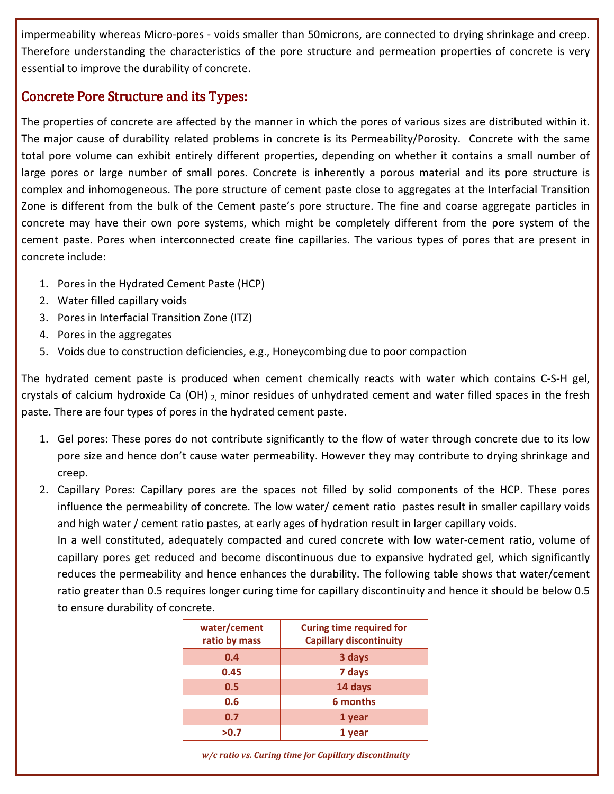impermeability whereas Micro-pores - voids smaller than 50microns, are connected to drying shrinkage and creep. Therefore understanding the characteristics of the pore structure and permeation properties of concrete is very essential to improve the durability of concrete.

#### Concrete Pore Structure and its Types:

The properties of concrete are affected by the manner in which the pores of various sizes are distributed within it. The major cause of durability related problems in concrete is its Permeability/Porosity. Concrete with the same total pore volume can exhibit entirely different properties, depending on whether it contains a small number of large pores or large number of small pores. Concrete is inherently a porous material and its pore structure is complex and inhomogeneous. The pore structure of cement paste close to aggregates at the Interfacial Transition Zone is different from the bulk of the Cement paste's pore structure. The fine and coarse aggregate particles in concrete may have their own pore systems, which might be completely different from the pore system of the cement paste. Pores when interconnected create fine capillaries. The various types of pores that are present in concrete include:

- 1. Pores in the Hydrated Cement Paste (HCP)
- 2. Water filled capillary voids
- 3. Pores in Interfacial Transition Zone (ITZ)
- 4. Pores in the aggregates
- 5. Voids due to construction deficiencies, e.g., Honeycombing due to poor compaction

The hydrated cement paste is produced when cement chemically reacts with water which contains C-S-H gel, crystals of calcium hydroxide Ca (OH)  $_2$  minor residues of unhydrated cement and water filled spaces in the fresh paste. There are four types of pores in the hydrated cement paste.

- 1. Gel pores: These pores do not contribute significantly to the flow of water through concrete due to its low pore size and hence don't cause water permeability. However they may contribute to drying shrinkage and creep.
- 2. Capillary Pores: Capillary pores are the spaces not filled by solid components of the HCP. These pores influence the permeability of concrete. The low water/ cement ratio pastes result in smaller capillary voids and high water / cement ratio pastes, at early ages of hydration result in larger capillary voids.

In a well constituted, adequately compacted and cured concrete with low water-cement ratio, volume of capillary pores get reduced and become discontinuous due to expansive hydrated gel, which significantly reduces the permeability and hence enhances the durability. The following table shows that water/cement ratio greater than 0.5 requires longer curing time for capillary discontinuity and hence it should be below 0.5 to ensure durability of concrete.

| water/cement<br>ratio by mass | <b>Curing time required for</b><br><b>Capillary discontinuity</b> |
|-------------------------------|-------------------------------------------------------------------|
| 0.4                           | 3 days                                                            |
| 0.45                          | 7 days                                                            |
| 0.5                           | 14 days                                                           |
| 0.6                           | 6 months                                                          |
| 0.7                           | 1 year                                                            |
| >0.7                          | 1 year                                                            |

 *w/c ratio vs. Curing time for Capillary discontinuity*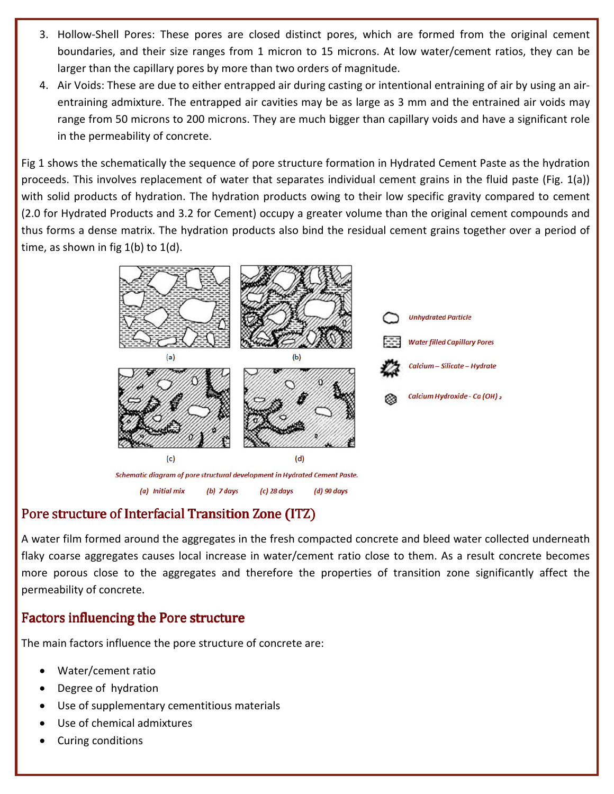- 3. Hollow-Shell Pores: These pores are closed distinct pores, which are formed from the original cement boundaries, and their size ranges from 1 micron to 15 microns. At low water/cement ratios, they can be larger than the capillary pores by more than two orders of magnitude. ich are formed from the original cement<br>At low water/cement ratios, they can be<br>tude.<br>intentional entraining of air by using an air-
- 4. Air Voids: These are due to either entrapped air during casting or intentional entraining entraining admixture. The entrapped air cavities may be as large as 3 mm and the entrained air voids may range from 50 microns to 200 microns. They are much bigger than capillary voids and have a significant role in the permeability of concrete. entraining admixture. The entrapped air cavities may be as large as 3 mm and the entrained air voids may<br>range from 50 microns to 200 microns. They are much bigger than capillary voids and have a significant role<br>in the pe apillary pores by more than two orders of magnitude.<br>are due to either entrapped air during casting or intentional entraining of air by using an air-<br>«ture. The entrapped air cavities may be as large as 3 mm and the entrai

proceeds. This involves replacement of water that separates individual cement grains in the fluid paste (Fig.  $1(a)$ ) with solid products of hydration. The hydration products owing to their low specific gravity compared to cement<br>(2.0 for Hydrated Products and 3.2 for Cement) occupy a greater volume than the original cement compounds and (2.0 for Hydrated Products and 3.2 for Cement) occupy a greater volume than the original cement thus forms a dense matrix. The hydration products also bind the residual cement grains together over a period of time, as shown in fig  $1(b)$  to  $1(d)$ .



## Pore structure of Interfacial Transition Zone (ITZ) (ITZ)

A water film formed around the aggregates in the fresh compacted concrete and bleed water collected underneath flaky coarse aggregates causes local increase in water/cement ratio close to them. As a result concrete becomes A water film formed around the aggregates in the fresh compacted concrete and bleed water collected underneath<br>flaky coarse aggregates causes local increase in water/cement ratio close to them. As a result concrete becomes permeability of concrete.

#### Factors influencing the Pore structure

The main factors influence the pore structure of concrete are:

- Water/cement ratio
- Degree of hydration
- Mater/cement ratio<br>• Water/cement ratio<br>• Degree of hydration<br>• Use of supplementary cementitious materials
- Use of chemical admixtures
- Curing conditions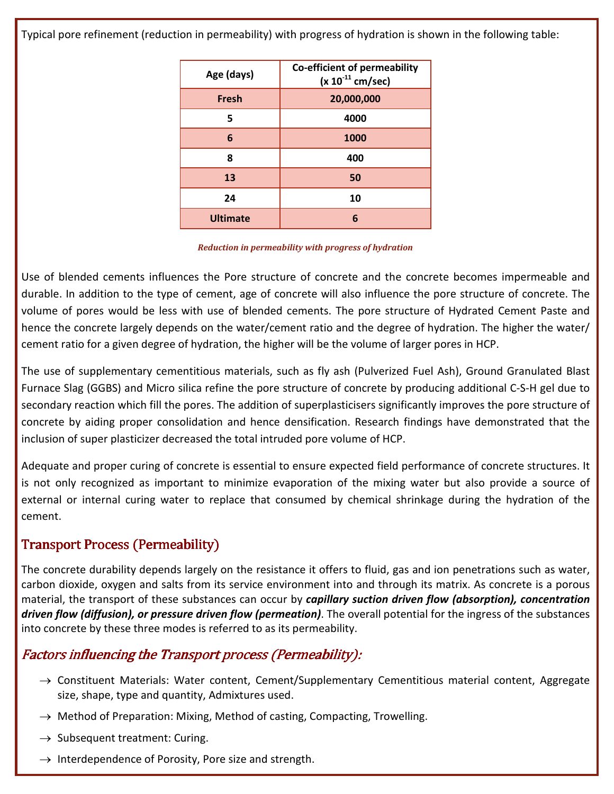Typical pore refinement (reduction in permeability) with progress of hydration is shown in the following table:

| Age (days)      | Co-efficient of permeability<br>$(x 10^{-11}$ cm/sec) |
|-----------------|-------------------------------------------------------|
| <b>Fresh</b>    | 20,000,000                                            |
| 5               | 4000                                                  |
| 6               | 1000                                                  |
| 8               | 400                                                   |
| 13              | 50                                                    |
| 24              | 10                                                    |
| <b>Ultimate</b> | 6                                                     |

#### *Reduction in permeability with progress of hydration*

Use of blended cements influences the Pore structure of concrete and the concrete becomes impermeable and durable. In addition to the type of cement, age of concrete will also influence the pore structure of concrete. The volume of pores would be less with use of blended cements. The pore structure of Hydrated Cement Paste and hence the concrete largely depends on the water/cement ratio and the degree of hydration. The higher the water/ cement ratio for a given degree of hydration, the higher will be the volume of larger pores in HCP.

The use of supplementary cementitious materials, such as fly ash (Pulverized Fuel Ash), Ground Granulated Blast Furnace Slag (GGBS) and Micro silica refine the pore structure of concrete by producing additional C-S-H gel due to secondary reaction which fill the pores. The addition of superplasticisers significantly improves the pore structure of concrete by aiding proper consolidation and hence densification. Research findings have demonstrated that the inclusion of super plasticizer decreased the total intruded pore volume of HCP.

Adequate and proper curing of concrete is essential to ensure expected field performance of concrete structures. It is not only recognized as important to minimize evaporation of the mixing water but also provide a source of external or internal curing water to replace that consumed by chemical shrinkage during the hydration of the cement.

## Transport Process (Permeability)

The concrete durability depends largely on the resistance it offers to fluid, gas and ion penetrations such as water, carbon dioxide, oxygen and salts from its service environment into and through its matrix. As concrete is a porous material, the transport of these substances can occur by *capillary suction driven flow (absorption), concentration driven flow (diffusion), or pressure driven flow (permeation)*. The overall potential for the ingress of the substances into concrete by these three modes is referred to as its permeability.

## Factors influencing the Transport process (Permeability):

- $\rightarrow$  Constituent Materials: Water content, Cement/Supplementary Cementitious material content, Aggregate size, shape, type and quantity, Admixtures used.
- $\rightarrow$  Method of Preparation: Mixing, Method of casting, Compacting, Trowelling.
- $\rightarrow$  Subsequent treatment: Curing.
- $\rightarrow$  Interdependence of Porosity, Pore size and strength.